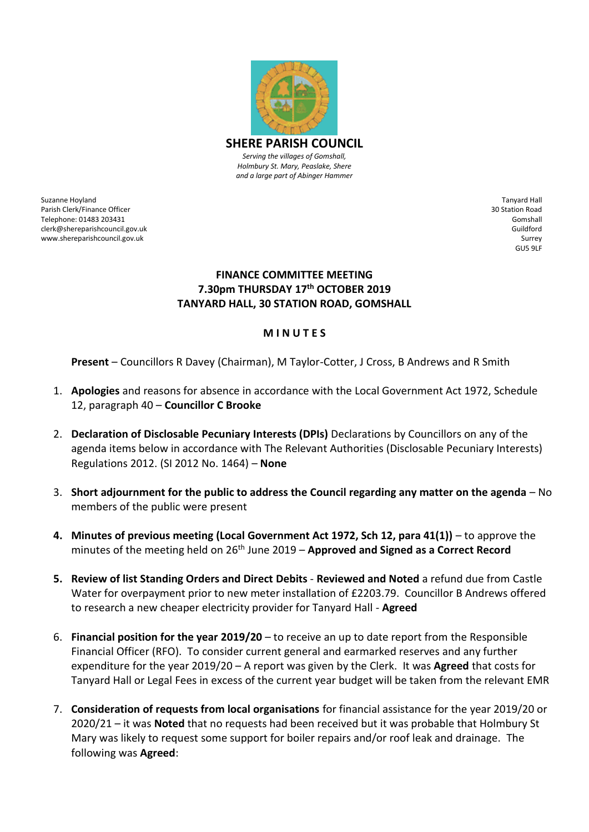

*Serving the villages of Gomshall, Holmbury St. Mary, Peaslake, Shere and a large part of Abinger Hammer*

Suzanne Hoyland Parish Clerk/Finance Officer Telephone: 01483 203431 clerk@shereparishcouncil.gov.uk www.shereparishcouncil.gov.uk

Tanyard Hall 30 Station Road Gomshall Guildford Surrey GU5 9LF

## **FINANCE COMMITTEE MEETING 7.30pm THURSDAY 17th OCTOBER 2019 TANYARD HALL, 30 STATION ROAD, GOMSHALL**

## **M I N U T E S**

**Present** – Councillors R Davey (Chairman), M Taylor-Cotter, J Cross, B Andrews and R Smith

- 1. **Apologies** and reasons for absence in accordance with the Local Government Act 1972, Schedule 12, paragraph 40 – **Councillor C Brooke**
- 2. **Declaration of Disclosable Pecuniary Interests (DPIs)** Declarations by Councillors on any of the agenda items below in accordance with The Relevant Authorities (Disclosable Pecuniary Interests) Regulations 2012. (SI 2012 No. 1464) – **None**
- 3. **Short adjournment for the public to address the Council regarding any matter on the agenda** No members of the public were present
- **4. Minutes of previous meeting (Local Government Act 1972, Sch 12, para 41(1))** to approve the minutes of the meeting held on 26<sup>th</sup> June 2019 – **Approved and Signed as a Correct Record**
- **5. Review of list Standing Orders and Direct Debits Reviewed and Noted** a refund due from Castle Water for overpayment prior to new meter installation of £2203.79. Councillor B Andrews offered to research a new cheaper electricity provider for Tanyard Hall - **Agreed**
- 6. **Financial position for the year 2019/20** to receive an up to date report from the Responsible Financial Officer (RFO). To consider current general and earmarked reserves and any further expenditure for the year 2019/20 – A report was given by the Clerk. It was **Agreed** that costs for Tanyard Hall or Legal Fees in excess of the current year budget will be taken from the relevant EMR
- 7. **Consideration of requests from local organisations** for financial assistance for the year 2019/20 or 2020/21 – it was **Noted** that no requests had been received but it was probable that Holmbury St Mary was likely to request some support for boiler repairs and/or roof leak and drainage. The following was **Agreed**: